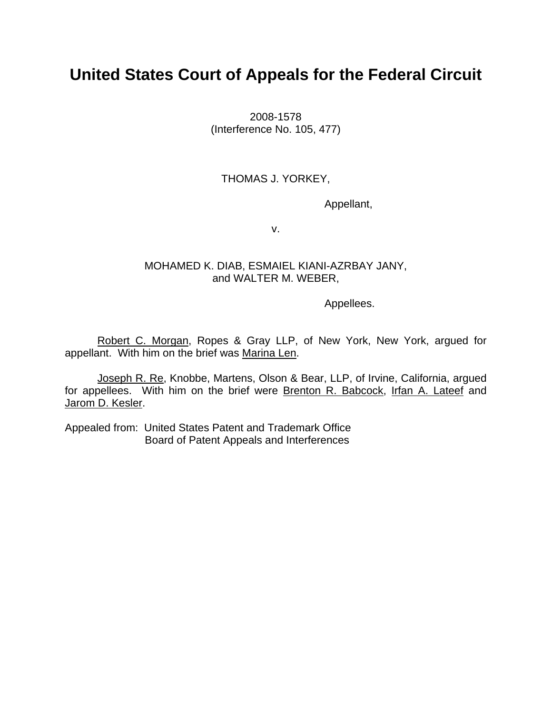# **United States Court of Appeals for the Federal Circuit**

2008-1578 (Interference No. 105, 477)

## THOMAS J. YORKEY,

Appellant,

v.

### MOHAMED K. DIAB, ESMAIEL KIANI-AZRBAY JANY, and WALTER M. WEBER,

Appellees.

Robert C. Morgan, Ropes & Gray LLP, of New York, New York, argued for appellant. With him on the brief was Marina Len.

Joseph R. Re, Knobbe, Martens, Olson & Bear, LLP, of Irvine, California, argued for appellees. With him on the brief were Brenton R. Babcock, Irfan A. Lateef and Jarom D. Kesler.

Appealed from: United States Patent and Trademark Office Board of Patent Appeals and Interferences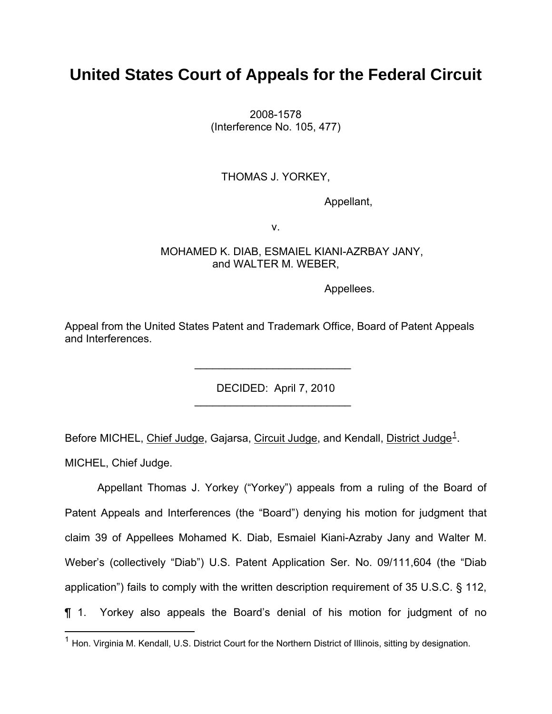# **United States Court of Appeals for the Federal Circuit**

2008-1578 (Interference No. 105, 477)

## THOMAS J. YORKEY,

Appellant,

v.

### MOHAMED K. DIAB, ESMAIEL KIANI-AZRBAY JANY, and WALTER M. WEBER,

Appellees.

Appeal from the United States Patent and Trademark Office, Board of Patent Appeals and Interferences.

 $\mathcal{L}_\text{max}$  , which is a set of the set of the set of the set of the set of the set of the set of the set of the set of the set of the set of the set of the set of the set of the set of the set of the set of the set of

 $\mathcal{L}_\text{max} = \frac{1}{2} \sum_{i=1}^{n} \frac{1}{2} \sum_{i=1}^{n} \frac{1}{2} \sum_{i=1}^{n} \frac{1}{2} \sum_{i=1}^{n} \frac{1}{2} \sum_{i=1}^{n} \frac{1}{2} \sum_{i=1}^{n} \frac{1}{2} \sum_{i=1}^{n} \frac{1}{2} \sum_{i=1}^{n} \frac{1}{2} \sum_{i=1}^{n} \frac{1}{2} \sum_{i=1}^{n} \frac{1}{2} \sum_{i=1}^{n} \frac{1}{2} \sum_{i=1}^{n} \frac{1$ 

DECIDED: April 7, 2010

Before MICHEL, Chief Judge, Gajarsa, Circuit Judge, and Kendall, District Judge<sup>[1](#page-1-0)</sup>.

MICHEL, Chief Judge.

<u>.</u>

Appellant Thomas J. Yorkey ("Yorkey") appeals from a ruling of the Board of Patent Appeals and Interferences (the "Board") denying his motion for judgment that claim 39 of Appellees Mohamed K. Diab, Esmaiel Kiani-Azraby Jany and Walter M. Weber's (collectively "Diab") U.S. Patent Application Ser. No. 09/111,604 (the "Diab application") fails to comply with the written description requirement of 35 U.S.C. § 112, ¶ 1. Yorkey also appeals the Board's denial of his motion for judgment of no

<span id="page-1-0"></span> $1$  Hon. Virginia M. Kendall, U.S. District Court for the Northern District of Illinois, sitting by designation.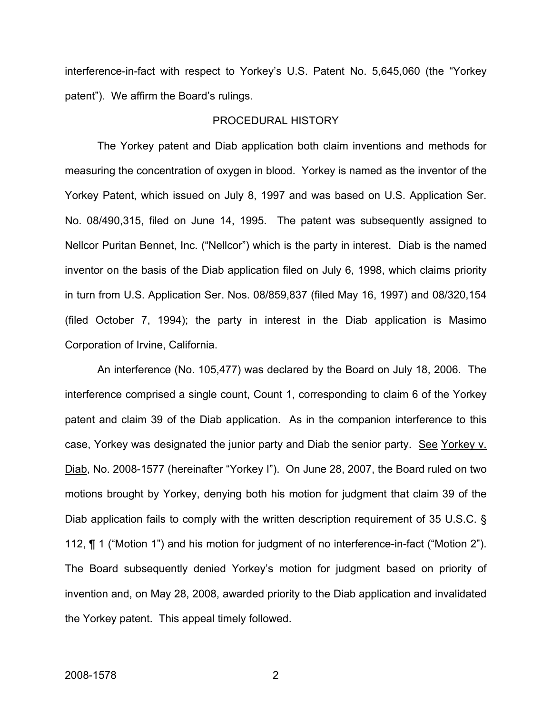interference-in-fact with respect to Yorkey's U.S. Patent No. 5,645,060 (the "Yorkey patent"). We affirm the Board's rulings.

#### PROCEDURAL HISTORY

The Yorkey patent and Diab application both claim inventions and methods for measuring the concentration of oxygen in blood. Yorkey is named as the inventor of the Yorkey Patent, which issued on July 8, 1997 and was based on U.S. Application Ser. No. 08/490,315, filed on June 14, 1995. The patent was subsequently assigned to Nellcor Puritan Bennet, Inc. ("Nellcor") which is the party in interest. Diab is the named inventor on the basis of the Diab application filed on July 6, 1998, which claims priority in turn from U.S. Application Ser. Nos. 08/859,837 (filed May 16, 1997) and 08/320,154 (filed October 7, 1994); the party in interest in the Diab application is Masimo Corporation of Irvine, California.

An interference (No. 105,477) was declared by the Board on July 18, 2006. The interference comprised a single count, Count 1, corresponding to claim 6 of the Yorkey patent and claim 39 of the Diab application. As in the companion interference to this case, Yorkey was designated the junior party and Diab the senior party. See Yorkey v. Diab, No. 2008-1577 (hereinafter "Yorkey I"). On June 28, 2007, the Board ruled on two motions brought by Yorkey, denying both his motion for judgment that claim 39 of the Diab application fails to comply with the written description requirement of 35 U.S.C. § 112, ¶ 1 ("Motion 1") and his motion for judgment of no interference-in-fact ("Motion 2"). The Board subsequently denied Yorkey's motion for judgment based on priority of invention and, on May 28, 2008, awarded priority to the Diab application and invalidated the Yorkey patent. This appeal timely followed.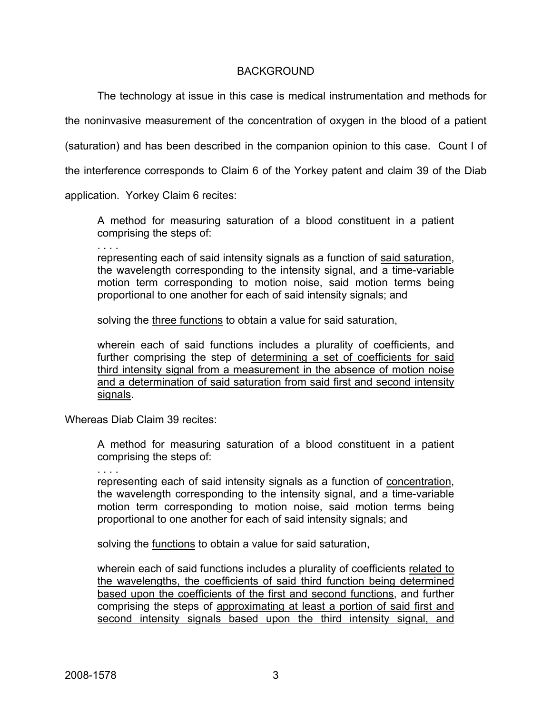## BACKGROUND

The technology at issue in this case is medical instrumentation and methods for

the noninvasive measurement of the concentration of oxygen in the blood of a patient

(saturation) and has been described in the companion opinion to this case. Count I of

the interference corresponds to Claim 6 of the Yorkey patent and claim 39 of the Diab

application. Yorkey Claim 6 recites:

A method for measuring saturation of a blood constituent in a patient comprising the steps of:

. . . .

representing each of said intensity signals as a function of said saturation, the wavelength corresponding to the intensity signal, and a time-variable motion term corresponding to motion noise, said motion terms being proportional to one another for each of said intensity signals; and

solving the three functions to obtain a value for said saturation,

wherein each of said functions includes a plurality of coefficients, and further comprising the step of determining a set of coefficients for said third intensity signal from a measurement in the absence of motion noise and a determination of said saturation from said first and second intensity signals.

Whereas Diab Claim 39 recites:

A method for measuring saturation of a blood constituent in a patient comprising the steps of:

. . . .

representing each of said intensity signals as a function of concentration, the wavelength corresponding to the intensity signal, and a time-variable motion term corresponding to motion noise, said motion terms being proportional to one another for each of said intensity signals; and

solving the functions to obtain a value for said saturation,

wherein each of said functions includes a plurality of coefficients related to the wavelengths, the coefficients of said third function being determined based upon the coefficients of the first and second functions, and further comprising the steps of approximating at least a portion of said first and second intensity signals based upon the third intensity signal, and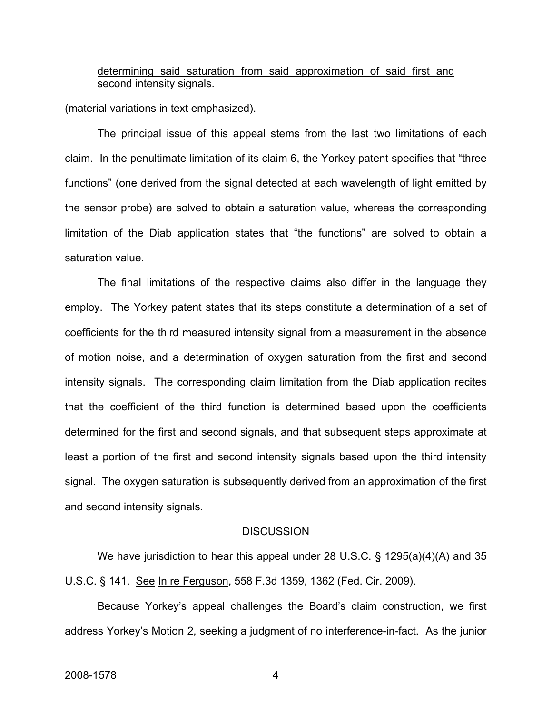## determining said saturation from said approximation of said first and second intensity signals.

(material variations in text emphasized).

 The principal issue of this appeal stems from the last two limitations of each claim. In the penultimate limitation of its claim 6, the Yorkey patent specifies that "three functions" (one derived from the signal detected at each wavelength of light emitted by the sensor probe) are solved to obtain a saturation value, whereas the corresponding limitation of the Diab application states that "the functions" are solved to obtain a saturation value.

The final limitations of the respective claims also differ in the language they employ. The Yorkey patent states that its steps constitute a determination of a set of coefficients for the third measured intensity signal from a measurement in the absence of motion noise, and a determination of oxygen saturation from the first and second intensity signals. The corresponding claim limitation from the Diab application recites that the coefficient of the third function is determined based upon the coefficients determined for the first and second signals, and that subsequent steps approximate at least a portion of the first and second intensity signals based upon the third intensity signal. The oxygen saturation is subsequently derived from an approximation of the first and second intensity signals.

#### **DISCUSSION**

We have jurisdiction to hear this appeal under 28 U.S.C. § 1295(a)(4)(A) and 35 U.S.C. § 141. See In re Ferguson, 558 F.3d 1359, 1362 (Fed. Cir. 2009).

Because Yorkey's appeal challenges the Board's claim construction, we first address Yorkey's Motion 2, seeking a judgment of no interference-in-fact. As the junior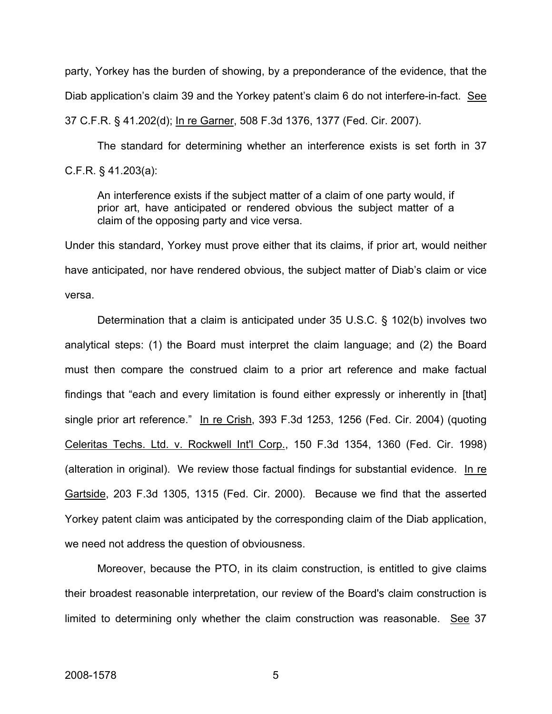party, Yorkey has the burden of showing, by a preponderance of the evidence, that the Diab application's claim 39 and the Yorkey patent's claim 6 do not interfere-in-fact. See 37 C.F.R. § 41.202(d); In re Garner, 508 F.3d 1376, 1377 (Fed. Cir. 2007).

 The standard for determining whether an interference exists is set forth in 37 C.F.R. § 41.203(a):

An interference exists if the subject matter of a claim of one party would, if prior art, have anticipated or rendered obvious the subject matter of a claim of the opposing party and vice versa.

Under this standard, Yorkey must prove either that its claims, if prior art, would neither have anticipated, nor have rendered obvious, the subject matter of Diab's claim or vice versa.

Determination that a claim is anticipated under 35 U.S.C. § 102(b) involves two analytical steps: (1) the Board must interpret the claim language; and (2) the Board must then compare the construed claim to a prior art reference and make factual findings that "each and every limitation is found either expressly or inherently in [that] single prior art reference." In re Crish, 393 F.3d 1253, 1256 (Fed. Cir. 2004) (quoting Celeritas Techs. Ltd. v. Rockwell Int'l Corp., 150 F.3d 1354, 1360 (Fed. Cir. 1998) (alteration in original). We review those factual findings for substantial evidence. In re Gartside, 203 F.3d 1305, 1315 (Fed. Cir. 2000). Because we find that the asserted Yorkey patent claim was anticipated by the corresponding claim of the Diab application, we need not address the question of obviousness.

Moreover, because the PTO, in its claim construction, is entitled to give claims their broadest reasonable interpretation, our review of the Board's claim construction is limited to determining only whether the claim construction was reasonable. See 37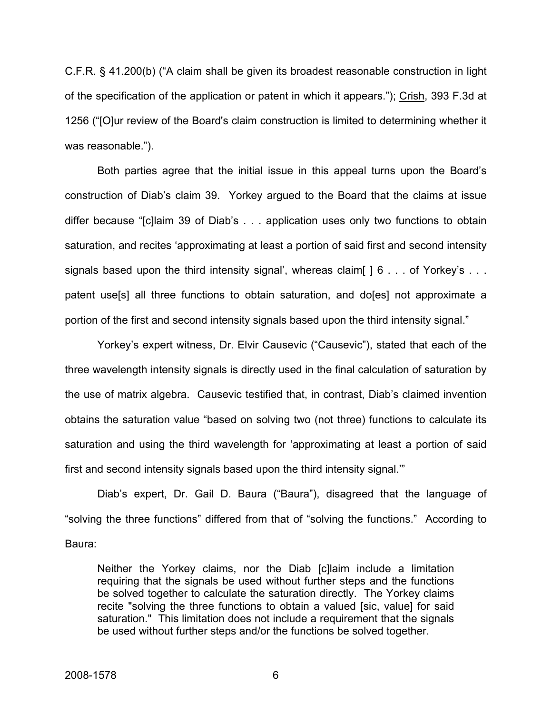C.F.R. § 41.200(b) ("A claim shall be given its broadest reasonable construction in light of the specification of the application or patent in which it appears."); Crish, 393 F.3d at 1256 ("[O]ur review of the Board's claim construction is limited to determining whether it was reasonable.").

Both parties agree that the initial issue in this appeal turns upon the Board's construction of Diab's claim 39. Yorkey argued to the Board that the claims at issue differ because "[c]laim 39 of Diab's . . . application uses only two functions to obtain saturation, and recites 'approximating at least a portion of said first and second intensity signals based upon the third intensity signal', whereas claim[ ] 6 . . . of Yorkey's . . . patent use[s] all three functions to obtain saturation, and do[es] not approximate a portion of the first and second intensity signals based upon the third intensity signal."

Yorkey's expert witness, Dr. Elvir Causevic ("Causevic"), stated that each of the three wavelength intensity signals is directly used in the final calculation of saturation by the use of matrix algebra. Causevic testified that, in contrast, Diab's claimed invention obtains the saturation value "based on solving two (not three) functions to calculate its saturation and using the third wavelength for 'approximating at least a portion of said first and second intensity signals based upon the third intensity signal.'"

Diab's expert, Dr. Gail D. Baura ("Baura"), disagreed that the language of "solving the three functions" differed from that of "solving the functions." According to Baura:

Neither the Yorkey claims, nor the Diab [c]laim include a limitation requiring that the signals be used without further steps and the functions be solved together to calculate the saturation directly. The Yorkey claims recite "solving the three functions to obtain a valued [sic, value] for said saturation." This limitation does not include a requirement that the signals be used without further steps and/or the functions be solved together.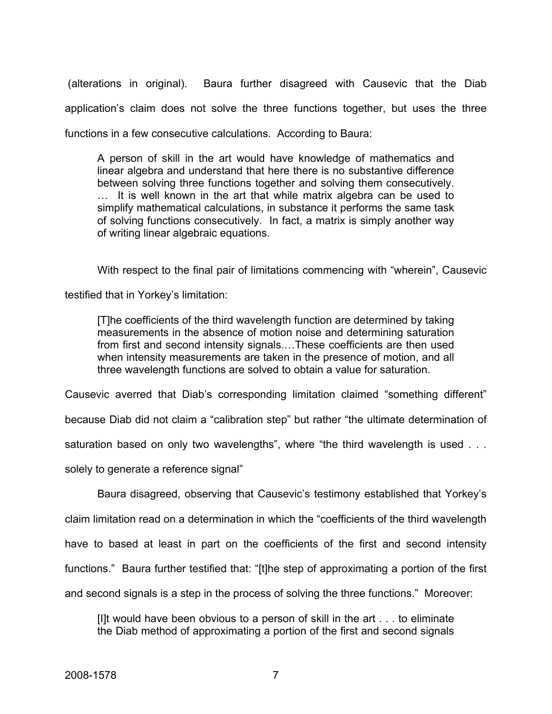(alterations in original). Baura further disagreed with Causevic that the Diab application's claim does not solve the three functions together, but uses the three functions in a few consecutive calculations. According to Baura:

A person of skill in the art would have knowledge of mathematics and linear algebra and understand that here there is no substantive difference between solving three functions together and solving them consecutively. … It is well known in the art that while matrix algebra can be used to simplify mathematical calculations, in substance it performs the same task of solving functions consecutively. In fact, a matrix is simply another way of writing linear algebraic equations.

With respect to the final pair of limitations commencing with "wherein", Causevic

testified that in Yorkey's limitation:

[T]he coefficients of the third wavelength function are determined by taking measurements in the absence of motion noise and determining saturation from first and second intensity signals.…These coefficients are then used when intensity measurements are taken in the presence of motion, and all three wavelength functions are solved to obtain a value for saturation.

Causevic averred that Diab's corresponding limitation claimed "something different"

because Diab did not claim a "calibration step" but rather "the ultimate determination of

saturation based on only two wavelengths", where "the third wavelength is used . . .

solely to generate a reference signal"

Baura disagreed, observing that Causevic's testimony established that Yorkey's

claim limitation read on a determination in which the "coefficients of the third wavelength

have to based at least in part on the coefficients of the first and second intensity

functions." Baura further testified that: "[t]he step of approximating a portion of the first

and second signals is a step in the process of solving the three functions." Moreover:

[I]t would have been obvious to a person of skill in the art . . . to eliminate the Diab method of approximating a portion of the first and second signals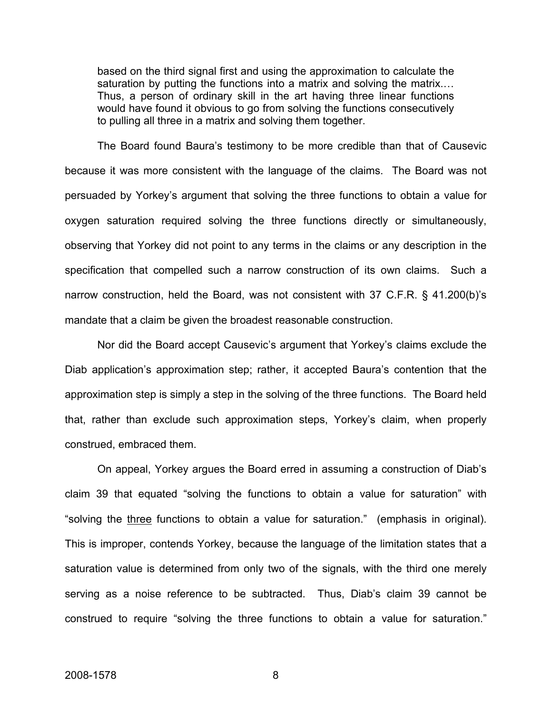based on the third signal first and using the approximation to calculate the saturation by putting the functions into a matrix and solving the matrix.... Thus, a person of ordinary skill in the art having three linear functions would have found it obvious to go from solving the functions consecutively to pulling all three in a matrix and solving them together.

The Board found Baura's testimony to be more credible than that of Causevic because it was more consistent with the language of the claims. The Board was not persuaded by Yorkey's argument that solving the three functions to obtain a value for oxygen saturation required solving the three functions directly or simultaneously, observing that Yorkey did not point to any terms in the claims or any description in the specification that compelled such a narrow construction of its own claims. Such a narrow construction, held the Board, was not consistent with 37 C.F.R. § 41.200(b)'s mandate that a claim be given the broadest reasonable construction.

Nor did the Board accept Causevic's argument that Yorkey's claims exclude the Diab application's approximation step; rather, it accepted Baura's contention that the approximation step is simply a step in the solving of the three functions. The Board held that, rather than exclude such approximation steps, Yorkey's claim, when properly construed, embraced them.

On appeal, Yorkey argues the Board erred in assuming a construction of Diab's claim 39 that equated "solving the functions to obtain a value for saturation" with "solving the three functions to obtain a value for saturation." (emphasis in original). This is improper, contends Yorkey, because the language of the limitation states that a saturation value is determined from only two of the signals, with the third one merely serving as a noise reference to be subtracted. Thus, Diab's claim 39 cannot be construed to require "solving the three functions to obtain a value for saturation."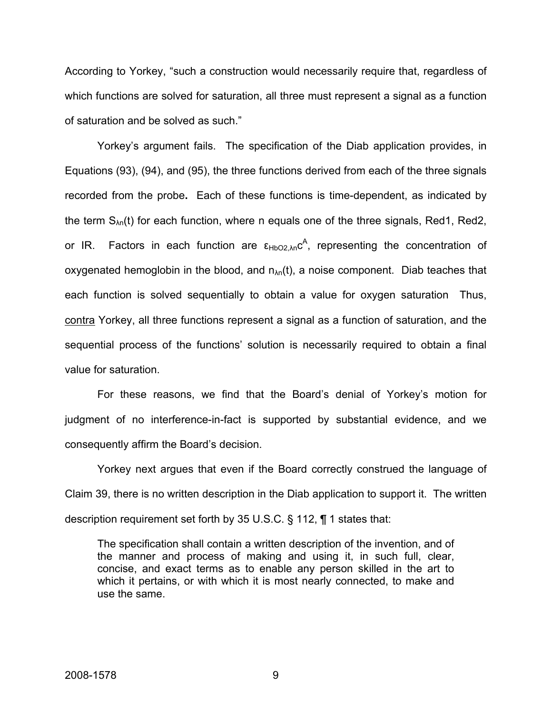According to Yorkey, "such a construction would necessarily require that, regardless of which functions are solved for saturation, all three must represent a signal as a function of saturation and be solved as such."

Yorkey's argument fails. The specification of the Diab application provides, in Equations (93), (94), and (95), the three functions derived from each of the three signals recorded from the probe**.** Each of these functions is time-dependent, as indicated by the term  $S_{\lambda n}(t)$  for each function, where n equals one of the three signals, Red1, Red2, or IR. Factors in each function are ε<sub>HbO2,λn</sub>c<sup>A</sup>, representing the concentration of oxygenated hemoglobin in the blood, and  $n_{\text{An}}(t)$ , a noise component. Diab teaches that each function is solved sequentially to obtain a value for oxygen saturation Thus, contra Yorkey, all three functions represent a signal as a function of saturation, and the sequential process of the functions' solution is necessarily required to obtain a final value for saturation.

For these reasons, we find that the Board's denial of Yorkey's motion for judgment of no interference-in-fact is supported by substantial evidence, and we consequently affirm the Board's decision.

Yorkey next argues that even if the Board correctly construed the language of Claim 39, there is no written description in the Diab application to support it. The written description requirement set forth by 35 U.S.C. § 112, ¶ 1 states that:

The specification shall contain a written description of the invention, and of the manner and process of making and using it, in such full, clear, concise, and exact terms as to enable any person skilled in the art to which it pertains, or with which it is most nearly connected, to make and use the same.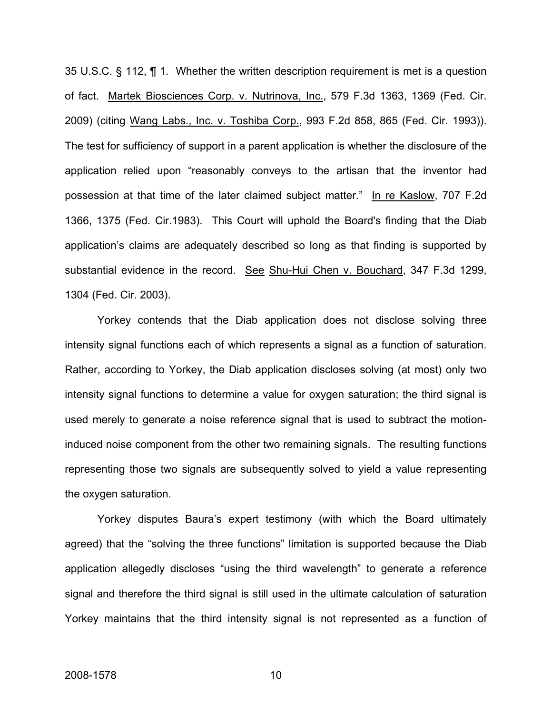35 U.S.C. § 112, ¶ 1. Whether the written description requirement is met is a question of fact. Martek Biosciences Corp. v. Nutrinova, Inc., 579 F.3d 1363, 1369 (Fed. Cir. 2009) (citing Wang Labs., Inc. v. Toshiba Corp., 993 F.2d 858, 865 (Fed. Cir. 1993)). The test for sufficiency of support in a parent application is whether the disclosure of the application relied upon "reasonably conveys to the artisan that the inventor had possession at that time of the later claimed subject matter." In re Kaslow, 707 F.2d 1366, 1375 (Fed. Cir.1983). This Court will uphold the Board's finding that the Diab application's claims are adequately described so long as that finding is supported by substantial evidence in the record. See Shu-Hui Chen v. Bouchard, 347 F.3d 1299, 1304 (Fed. Cir. 2003).

Yorkey contends that the Diab application does not disclose solving three intensity signal functions each of which represents a signal as a function of saturation. Rather, according to Yorkey, the Diab application discloses solving (at most) only two intensity signal functions to determine a value for oxygen saturation; the third signal is used merely to generate a noise reference signal that is used to subtract the motioninduced noise component from the other two remaining signals. The resulting functions representing those two signals are subsequently solved to yield a value representing the oxygen saturation.

Yorkey disputes Baura's expert testimony (with which the Board ultimately agreed) that the "solving the three functions" limitation is supported because the Diab application allegedly discloses "using the third wavelength" to generate a reference signal and therefore the third signal is still used in the ultimate calculation of saturation Yorkey maintains that the third intensity signal is not represented as a function of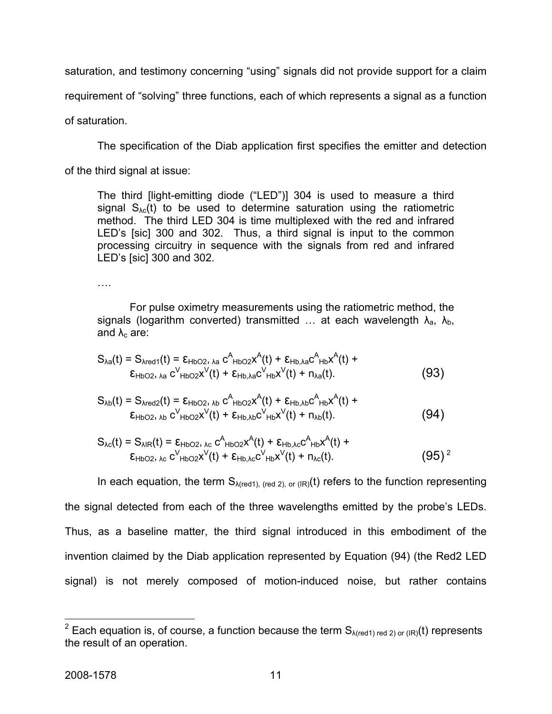saturation, and testimony concerning "using" signals did not provide support for a claim

requirement of "solving" three functions, each of which represents a signal as a function

of saturation.

The specification of the Diab application first specifies the emitter and detection

of the third signal at issue:

The third [light-emitting diode ("LED")] 304 is used to measure a third signal  $S_{\lambda c}(t)$  to be used to determine saturation using the ratiometric method. The third LED 304 is time multiplexed with the red and infrared LED's [sic] 300 and 302. Thus, a third signal is input to the common processing circuitry in sequence with the signals from red and infrared LED's [sic] 300 and 302.

….

 For pulse oximetry measurements using the ratiometric method, the signals (logarithm converted) transmitted ... at each wavelength  $\lambda_a$ ,  $\lambda_b$ , and  $\lambda_c$  are:

$$
S_{\lambda a}(t) = S_{\lambda \text{red}1}(t) = \varepsilon_{\text{HbO2}}, \lambda a C^{A}_{\text{HbO2}} x^{A}(t) + \varepsilon_{\text{Hb},\lambda a} C^{A}_{\text{Hb}} x^{A}(t) + \varepsilon_{\text{Hb},\lambda a} C^{B}_{\text{HbO2}}, \lambda a C^{V}_{\text{HbO2}} x^{V}(t) + \varepsilon_{\text{Hb},\lambda a} C^{V}_{\text{Hb}} x^{V}(t) + n_{\lambda a}(t).
$$
 (93)

$$
S_{\lambda b}(t) = S_{\lambda \text{red2}}(t) = \varepsilon_{HbO2, \lambda b} c^{A}_{HbO2} x^{A}(t) + \varepsilon_{Hb, \lambda b} c^{A}_{Hb} x^{A}(t) + \varepsilon_{HbO2, \lambda b} c^{V}_{HbO2} x^{V}(t) + \varepsilon_{Hb, \lambda b} c^{V}_{Hb} x^{V}(t) + n_{\lambda b}(t).
$$
 (94)

$$
S_{\lambda c}(t) = S_{\lambda \text{IR}}(t) = \varepsilon_{\text{HbO2, \lambda c}} c_{\text{HbO2}}^{\text{A}}(t) + \varepsilon_{\text{Hb},\lambda c} c_{\text{Hb}}^{\text{A}}(t) + \varepsilon_{\text{Hb},\lambda c} c_{\text{Hb}}^{\text{A}}(t) + \varepsilon_{\text{HbO2}} \left( \frac{1}{2} \right)^2
$$
\n
$$
\varepsilon_{\text{HbO2, \lambda c}} c_{\text{HbO2}}^{\text{V}}(t) + \varepsilon_{\text{Hb},\lambda c} c_{\text{Hb}}^{\text{V}}(t) + n_{\lambda c}(t). \tag{95}
$$

In each equation, the term  $S_{\lambda (red 1)$ , (red 2), or (IR)(t) refers to the function representing the signal detected from each of the three wavelengths emitted by the probe's LEDs. Thus, as a baseline matter, the third signal introduced in this embodiment of the invention claimed by the Diab application represented by Equation (94) (the Red2 LED signal) is not merely composed of motion-induced noise, but rather contains

<span id="page-11-0"></span>**EXECUTE:**<br><sup>2</sup> Each equation is, of course, a function because the term S<sub>A(red1) red 2) or (IR)(t) represents</sub> the result of an operation.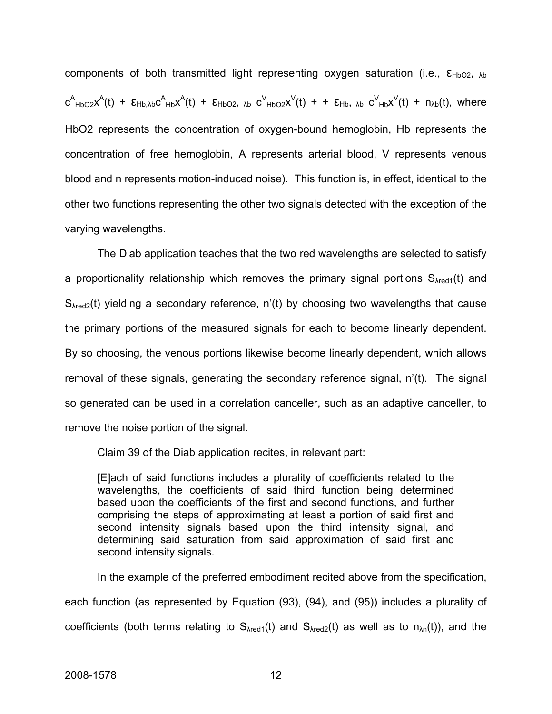components of both transmitted light representing oxygen saturation (i.e.,  $\epsilon_{HbO2, \lambda b}$  $c^A$ <sub>HbO2</sub>x<sup>A</sup>(t) +  $\epsilon$ <sub>Hb,λb</sub>c<sup>A</sup><sub>Hb</sub>x<sup>A</sup>(t) +  $\epsilon$ <sub>HbO2</sub>, <sub>λb</sub>  $c^V$ <sub>HbO2</sub>x<sup>V</sup>(t) +  $\epsilon$ <sub>Hb</sub>, <sub>λb</sub>  $c^V$ <sub>Hb</sub>x<sup>V</sup>(t) +  $n_{\lambda b}$ (t), where HbO2 represents the concentration of oxygen-bound hemoglobin, Hb represents the concentration of free hemoglobin, A represents arterial blood, V represents venous blood and n represents motion-induced noise). This function is, in effect, identical to the other two functions representing the other two signals detected with the exception of the varying wavelengths.

The Diab application teaches that the two red wavelengths are selected to satisfy a proportionality relationship which removes the primary signal portions  $S_{\text{Ared1}}(t)$  and  $S_{\text{Ared2}}(t)$  yielding a secondary reference, n'(t) by choosing two wavelengths that cause the primary portions of the measured signals for each to become linearly dependent. By so choosing, the venous portions likewise become linearly dependent, which allows removal of these signals, generating the secondary reference signal, n'(t). The signal so generated can be used in a correlation canceller, such as an adaptive canceller, to remove the noise portion of the signal.

Claim 39 of the Diab application recites, in relevant part:

[E]ach of said functions includes a plurality of coefficients related to the wavelengths, the coefficients of said third function being determined based upon the coefficients of the first and second functions, and further comprising the steps of approximating at least a portion of said first and second intensity signals based upon the third intensity signal, and determining said saturation from said approximation of said first and second intensity signals.

In the example of the preferred embodiment recited above from the specification, each function (as represented by Equation (93), (94), and (95)) includes a plurality of coefficients (both terms relating to  $S_{\text{Ared1}}(t)$  and  $S_{\text{Ared2}}(t)$  as well as to  $n_{\text{An}}(t)$ ), and the